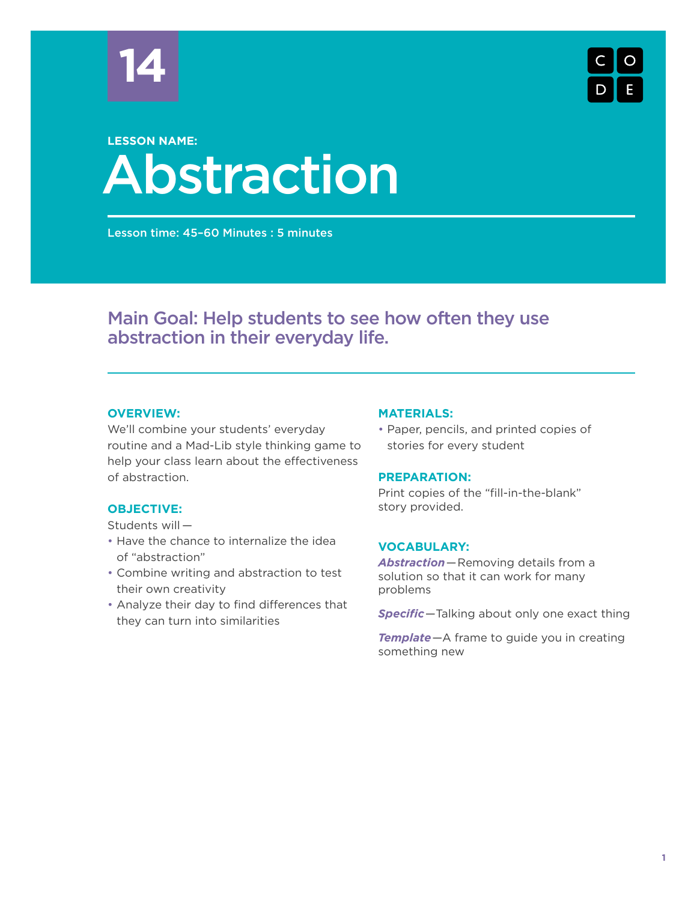



# Abstraction **LESSON NAME:**

Lesson time: 45–60 Minutes : 5 minutes

# Main Goal: Help students to see how often they use abstraction in their everyday life.

# **OVERVIEW:**

We'll combine your students' everyday routine and a Mad-Lib style thinking game to help your class learn about the effectiveness of abstraction.

# **OBJECTIVE:**

Students will —

- Have the chance to internalize the idea of "abstraction"
- Combine writing and abstraction to test their own creativity
- Analyze their day to find differences that they can turn into similarities

#### **MATERIALS:**

• Paper, pencils, and printed copies of stories for every student

#### **PREPARATION:**

Print copies of the "fill-in-the-blank" story provided.

#### **VOCABULARY:**

*Abstraction*—Removing details from a solution so that it can work for many problems

*Specific*—Talking about only one exact thing

*Template*—A frame to guide you in creating something new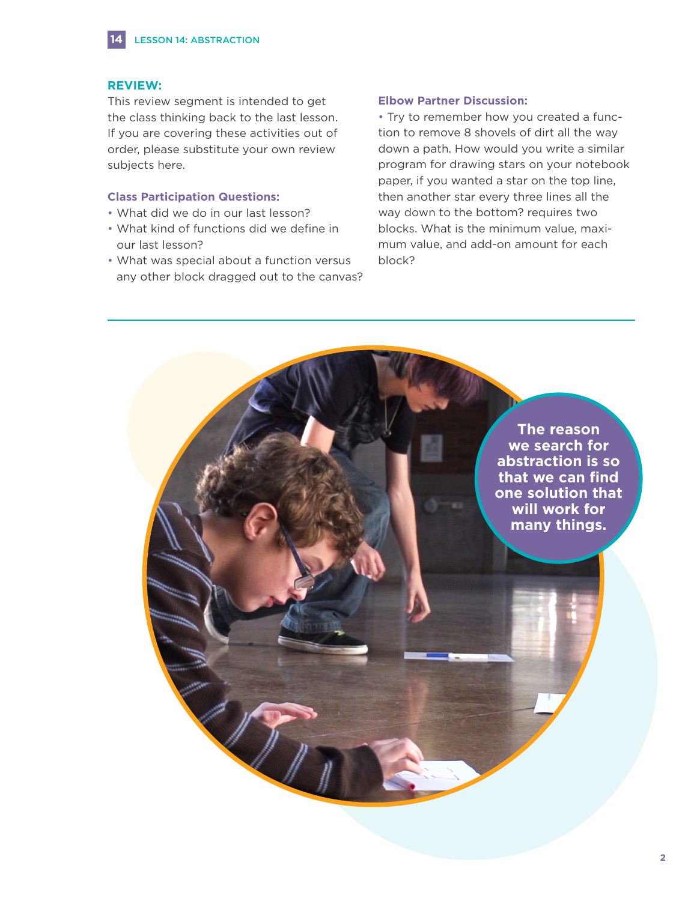#### **REVIEW:**

**14**

This review segment is intended to get the class thinking back to the last lesson. If you are covering these activities out of order, please substitute your own review subjects here.

#### **Class Participation Questions:**

- What did we do in our last lesson?
- What kind of functions did we define in our last lesson?
- What was special about a function versus any other block dragged out to the canvas?

#### **Elbow Partner Discussion:**

• Try to remember how you created a function to remove 8 shovels of dirt all the way down a path. How would you write a similar program for drawing stars on your notebook paper, if you wanted a star on the top line, then another star every three lines all the way down to the bottom? requires two blocks. What is the minimum value, maximum value, and add-on amount for each block?

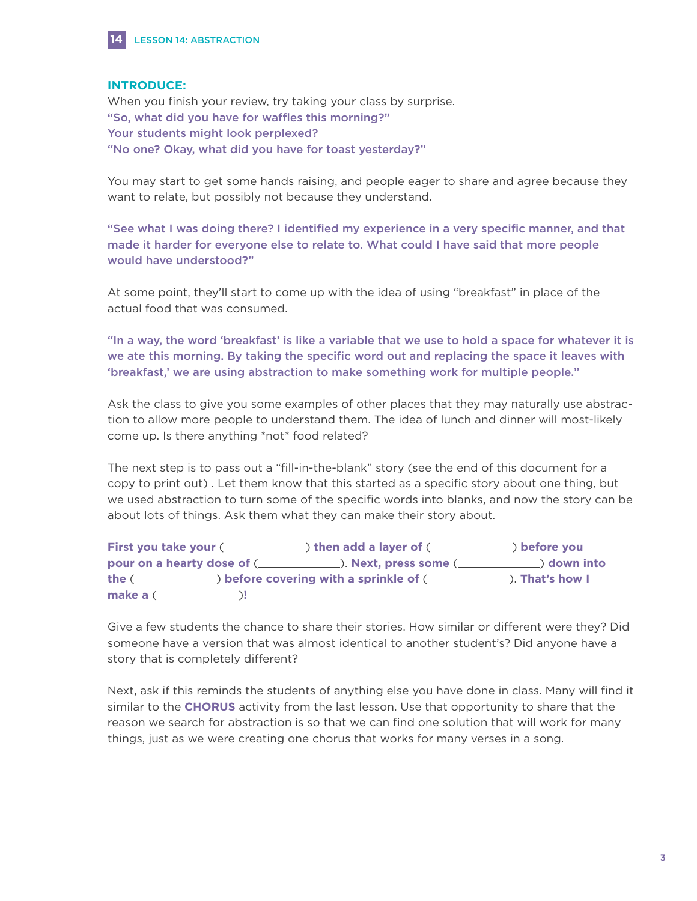

### **INTRODUCE:**

When you finish your review, try taking your class by surprise. "So, what did you have for waffles this morning?" Your students might look perplexed? "No one? Okay, what did you have for toast yesterday?"

You may start to get some hands raising, and people eager to share and agree because they want to relate, but possibly not because they understand.

"See what I was doing there? I identified my experience in a very specific manner, and that made it harder for everyone else to relate to. What could I have said that more people would have understood?"

At some point, they'll start to come up with the idea of using "breakfast" in place of the actual food that was consumed.

"In a way, the word 'breakfast' is like a variable that we use to hold a space for whatever it is we ate this morning. By taking the specific word out and replacing the space it leaves with 'breakfast,' we are using abstraction to make something work for multiple people."

Ask the class to give you some examples of other places that they may naturally use abstraction to allow more people to understand them. The idea of lunch and dinner will most-likely come up. Is there anything \*not\* food related?

The next step is to pass out a "fill-in-the-blank" story (see the end of this document for a copy to print out) . Let them know that this started as a specific story about one thing, but we used abstraction to turn some of the specific words into blanks, and now the story can be about lots of things. Ask them what they can make their story about.

|                                                                                                  | First you take your (_______________) then add a layer of (______________) before you |  |
|--------------------------------------------------------------------------------------------------|---------------------------------------------------------------------------------------|--|
|                                                                                                  |                                                                                       |  |
| the ( <i>______________</i> ) before covering with a sprinkle of (_______________). That's how I |                                                                                       |  |
|                                                                                                  |                                                                                       |  |

Give a few students the chance to share their stories. How similar or different were they? Did someone have a version that was almost identical to another student's? Did anyone have a story that is completely different?

Next, ask if this reminds the students of anything else you have done in class. Many will find it similar to the **CHORUS** activity from the last lesson. Use that opportunity to share that the reason we search for abstraction is so that we can find one solution that will work for many things, just as we were creating one chorus that works for many verses in a song.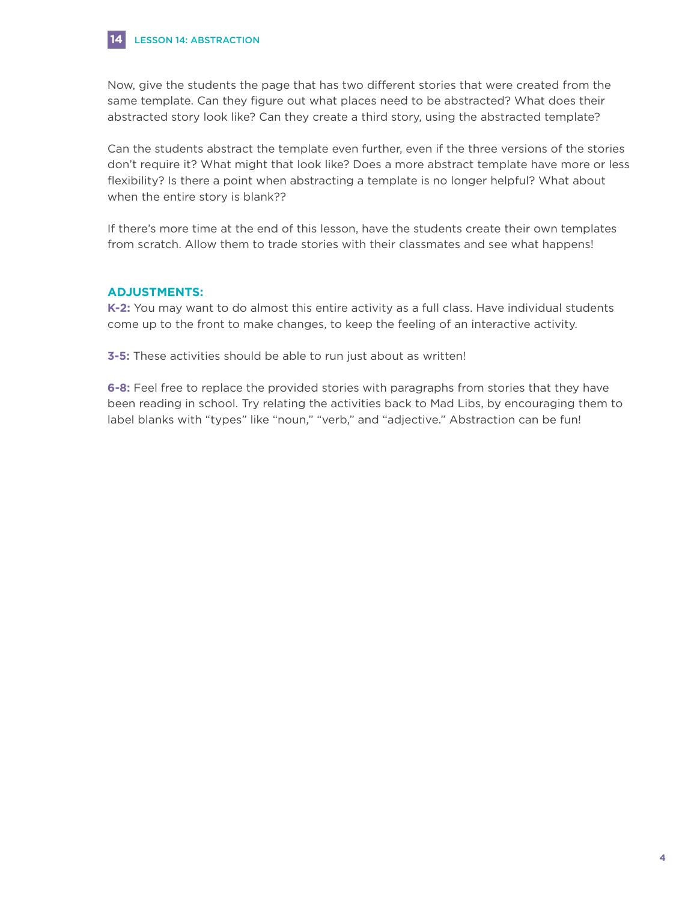

Now, give the students the page that has two different stories that were created from the same template. Can they figure out what places need to be abstracted? What does their abstracted story look like? Can they create a third story, using the abstracted template?

Can the students abstract the template even further, even if the three versions of the stories don't require it? What might that look like? Does a more abstract template have more or less flexibility? Is there a point when abstracting a template is no longer helpful? What about when the entire story is blank??

If there's more time at the end of this lesson, have the students create their own templates from scratch. Allow them to trade stories with their classmates and see what happens!

# **ADJUSTMENTS:**

**K-2:** You may want to do almost this entire activity as a full class. Have individual students come up to the front to make changes, to keep the feeling of an interactive activity.

**3-5:** These activities should be able to run just about as written!

**6-8:** Feel free to replace the provided stories with paragraphs from stories that they have been reading in school. Try relating the activities back to Mad Libs, by encouraging them to label blanks with "types" like "noun," "verb," and "adjective." Abstraction can be fun!